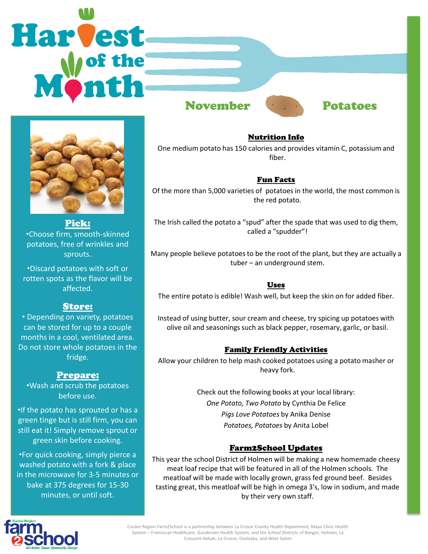# Harvest November Potatoes



Pick: •Choose firm, smooth-skinned potatoes, free of wrinkles and sprouts.

•Discard potatoes with soft or rotten spots as the flavor will be affected.

### Store:

• Depending on variety, potatoes can be stored for up to a couple months in a cool, ventilated area. Do not store whole potatoes in the fridge.

## Prepare:

•Wash and scrub the potatoes before use.

•If the potato has sprouted or has a green tinge but is still firm, you can still eat it! Simply remove sprout or green skin before cooking.

•For quick cooking, simply pierce a washed potato with a fork & place in the microwave for 3-5 minutes or bake at 375 degrees for 15-30 minutes, or until soft.



# Nutrition Info

One medium potato has 150 calories and provides vitamin C, potassium and fiber.

#### Fun Facts

Of the more than 5,000 varieties of potatoes in the world, the most common is the red potato.

The Irish called the potato a "spud" after the spade that was used to dig them, called a "spudder"!

Many people believe potatoes to be the root of the plant, but they are actually a tuber – an underground stem.

#### Uses

The entire potato is edible! Wash well, but keep the skin on for added fiber.

Instead of using butter, sour cream and cheese, try spicing up potatoes with olive oil and seasonings such as black pepper, rosemary, garlic, or basil.

#### Family Friendly Activities

Allow your children to help mash cooked potatoes using a potato masher or heavy fork.

> Check out the following books at your local library: *One Potato, Two Potato* by Cynthia De Felice *Pigs Love Potatoes* by Anika Denise *Potatoes, Potatoes* by Anita Lobel

### Farm2School Updates

This year the school District of Holmen will be making a new homemade cheesy meat loaf recipe that will be featured in all of the Holmen schools. The meatloaf will be made with locally grown, grass fed ground beef. Besides tasting great, this meatloaf will be high in omega 3's, low in sodium, and made by their very own staff.



Coulee Region Farm2School is a partnership between La Crosse County Health Department, Mayo Clinic Health System – Franciscan Healthcare, Gundersen Health System, and the School Districts of Bangor, Holmen, La Crescent-Hokah, La Crosse, Onalaska, and West Salem